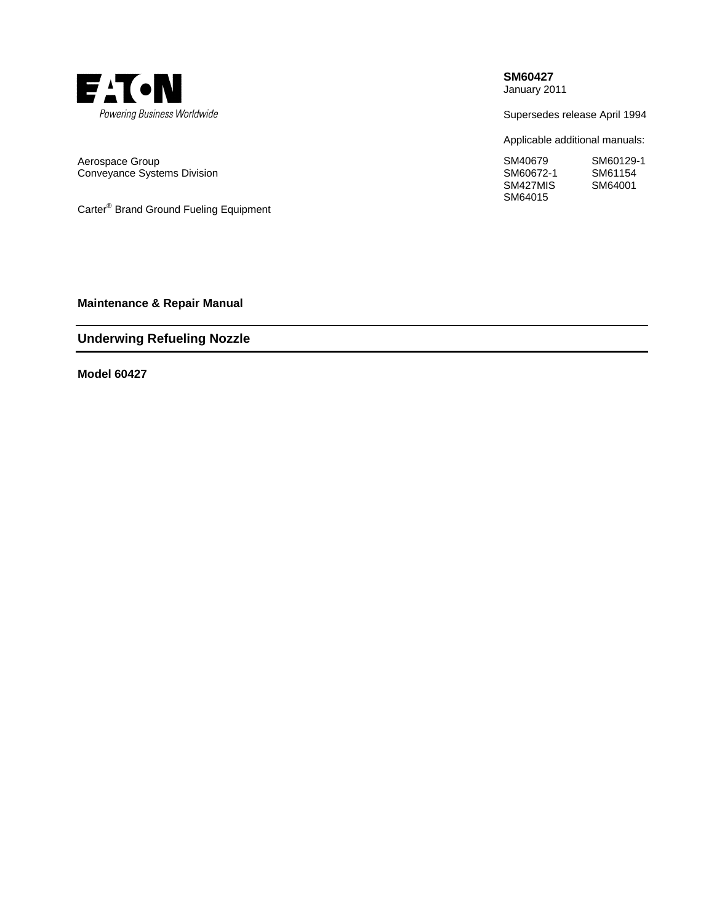

Aerospace Group Conveyance Systems Division

Carter® Brand Ground Fueling Equipment

**SM60427**  January 2011

Supersedes release April 1994

Applicable additional manuals:

SM40679 SM60129-1<br>SM60672-1 SM61154 SM60672-1 SM61154<br>SM427MIS SM64001 SM427MIS SM64015

**Maintenance & Repair Manual** 

**Underwing Refueling Nozzle** 

**Model 60427**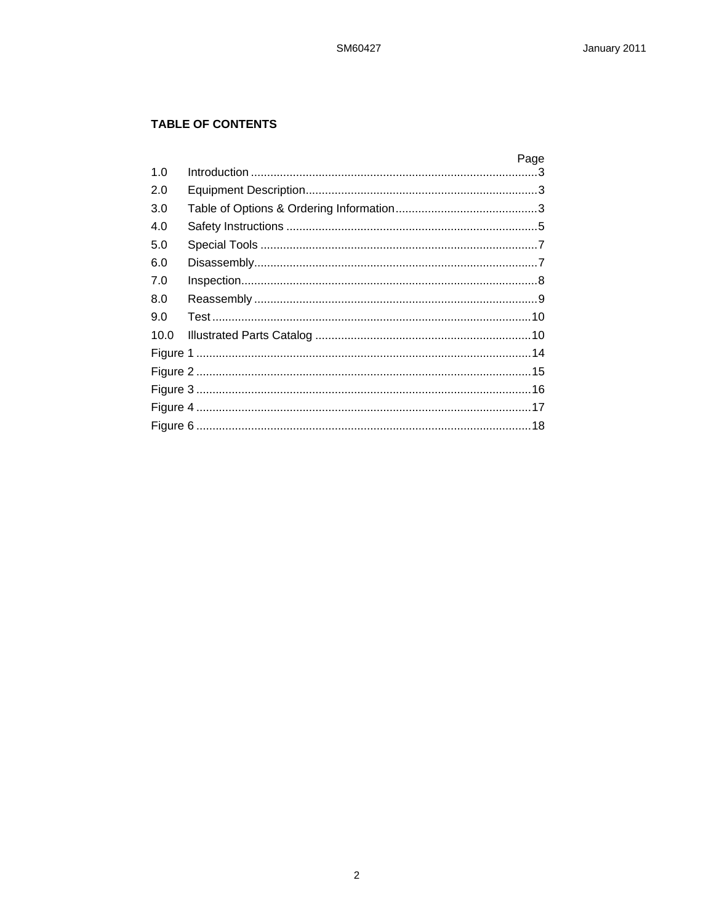# **TABLE OF CONTENTS**

|      | Page |  |
|------|------|--|
| 1.0  |      |  |
| 2.0  |      |  |
| 3.0  |      |  |
| 4.0  |      |  |
| 5.0  |      |  |
| 6.0  |      |  |
| 7.0  |      |  |
| 8.0  |      |  |
| 9.0  |      |  |
| 10.0 |      |  |
|      |      |  |
|      |      |  |
|      |      |  |
|      |      |  |
|      |      |  |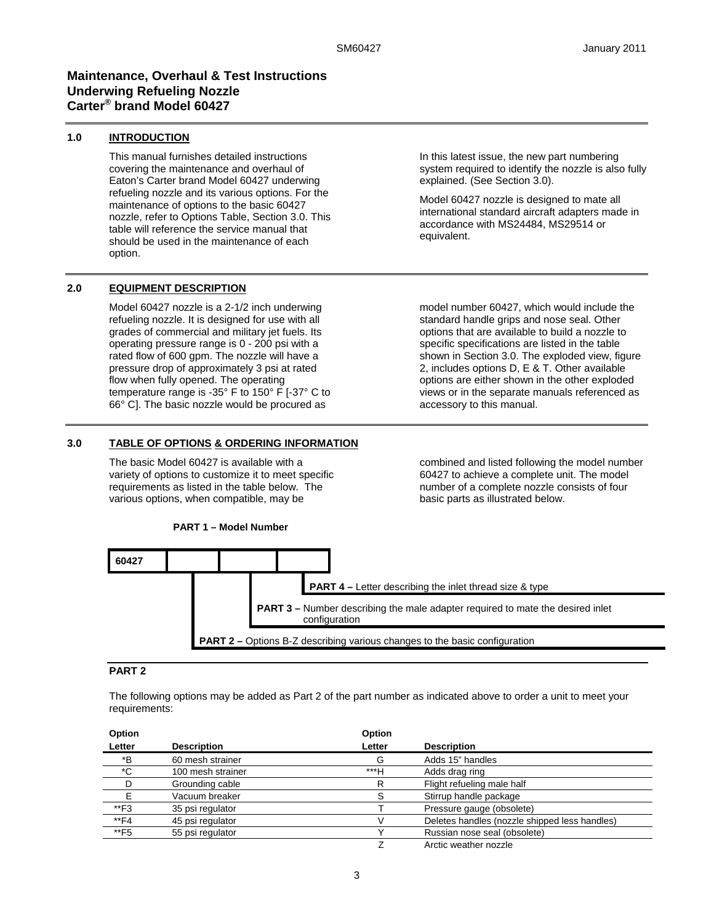## **Maintenance, Overhaul & Test Instructions Underwing Refueling Nozzle Carter® brand Model 60427**

#### **1.0 INTRODUCTION**

This manual furnishes detailed instructions covering the maintenance and overhaul of Eaton's Carter brand Model 60427 underwing refueling nozzle and its various options. For the maintenance of options to the basic 60427 nozzle, refer to Options Table, Section 3.0. This table will reference the service manual that should be used in the maintenance of each option.

# **2.0 EQUIPMENT DESCRIPTION**

Model 60427 nozzle is a 2-1/2 inch underwing refueling nozzle. It is designed for use with all grades of commercial and military jet fuels. Its operating pressure range is 0 - 200 psi with a rated flow of 600 gpm. The nozzle will have a pressure drop of approximately 3 psi at rated flow when fully opened. The operating temperature range is -35° F to 150° F [-37° C to 66° C]. The basic nozzle would be procured as

### **3.0 TABLE OF OPTIONS & ORDERING INFORMATION**

The basic Model 60427 is available with a variety of options to customize it to meet specific requirements as listed in the table below. The various options, when compatible, may be

 **PART 1 – Model Number** 

In this latest issue, the new part numbering system required to identify the nozzle is also fully explained. (See Section 3.0).

Model 60427 nozzle is designed to mate all international standard aircraft adapters made in accordance with MS24484, MS29514 or equivalent.

model number 60427, which would include the standard handle grips and nose seal. Other options that are available to build a nozzle to specific specifications are listed in the table shown in Section 3.0. The exploded view, figure 2, includes options D, E & T. Other available options are either shown in the other exploded views or in the separate manuals referenced as accessory to this manual.

combined and listed following the model number 60427 to achieve a complete unit. The model number of a complete nozzle consists of four basic parts as illustrated below.



### **PART 2**

The following options may be added as Part 2 of the part number as indicated above to order a unit to meet your requirements:

| Option |                    | Option |                                               |
|--------|--------------------|--------|-----------------------------------------------|
| Letter | <b>Description</b> | Letter | <b>Description</b>                            |
| *B     | 60 mesh strainer   | G      | Adds 15" handles                              |
| *C     | 100 mesh strainer  | ***H   | Adds drag ring                                |
| D      | Grounding cable    | R      | Flight refueling male half                    |
|        | Vacuum breaker     |        | Stirrup handle package                        |
| $**F3$ | 35 psi regulator   |        | Pressure gauge (obsolete)                     |
| $**F4$ | 45 psi regulator   |        | Deletes handles (nozzle shipped less handles) |
| **F5   | 55 psi regulator   |        | Russian nose seal (obsolete)                  |
|        |                    |        | Aretic woother pozzlo                         |

Arctic weather nozzle

3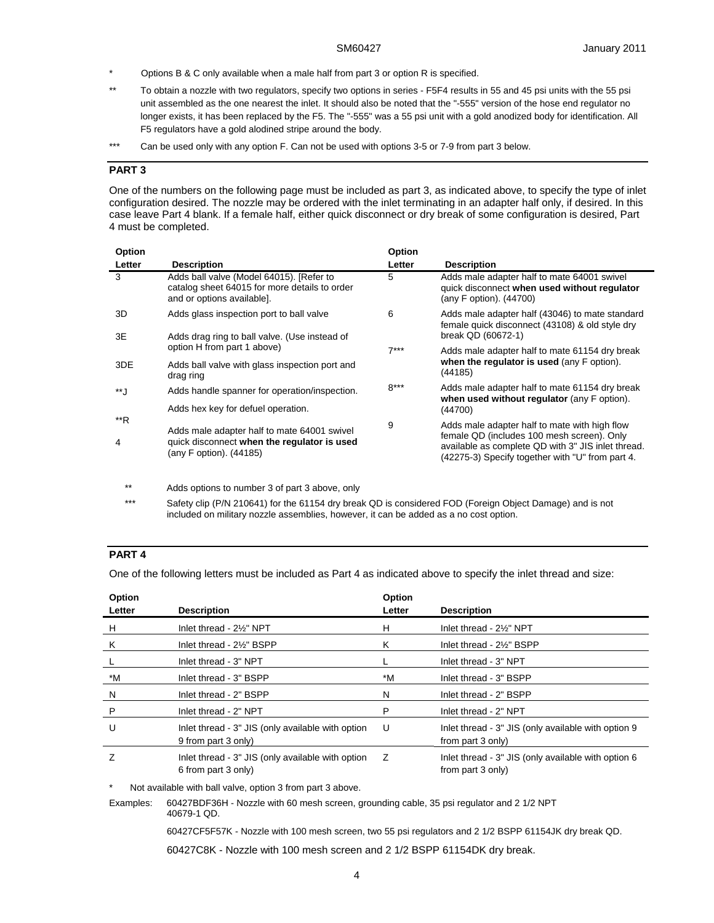- Options B & C only available when a male half from part 3 or option R is specified.
- \*\* To obtain a nozzle with two regulators, specify two options in series F5F4 results in 55 and 45 psi units with the 55 psi unit assembled as the one nearest the inlet. It should also be noted that the "-555" version of the hose end regulator no longer exists, it has been replaced by the F5. The "-555" was a 55 psi unit with a gold anodized body for identification. All F5 regulators have a gold alodined stripe around the body.
- \*\*\* Can be used only with any option F. Can not be used with options 3-5 or 7-9 from part 3 below.

### **PART 3**

One of the numbers on the following page must be included as part 3, as indicated above, to specify the type of inlet configuration desired. The nozzle may be ordered with the inlet terminating in an adapter half only, if desired. In this case leave Part 4 blank. If a female half, either quick disconnect or dry break of some configuration is desired, Part 4 must be completed.

| Option   |                                                                                                                         | Option |                                                                                                                                                      |
|----------|-------------------------------------------------------------------------------------------------------------------------|--------|------------------------------------------------------------------------------------------------------------------------------------------------------|
| Letter   | <b>Description</b>                                                                                                      | Letter | <b>Description</b>                                                                                                                                   |
| 3        | Adds ball valve (Model 64015). [Refer to<br>catalog sheet 64015 for more details to order<br>and or options available]. | 5      | Adds male adapter half to mate 64001 swivel<br>quick disconnect when used without regulator<br>(any F option). (44700)                               |
| 3D<br>3E | Adds glass inspection port to ball valve<br>Adds drag ring to ball valve. (Use instead of                               | 6      | Adds male adapter half (43046) to mate standard<br>female quick disconnect (43108) & old style dry<br>break QD (60672-1)                             |
|          | option H from part 1 above)                                                                                             | $7***$ | Adds male adapter half to mate 61154 dry break                                                                                                       |
| 3DE      | Adds ball valve with glass inspection port and<br>drag ring                                                             |        | when the regulator is used (any F option).<br>(44185)                                                                                                |
| $**$     | Adds handle spanner for operation/inspection.                                                                           | $8***$ | Adds male adapter half to mate 61154 dry break<br>when used without regulator (any F option).                                                        |
|          | Adds hex key for defuel operation.                                                                                      |        | (44700)                                                                                                                                              |
| $**R$    |                                                                                                                         | 9      | Adds male adapter half to mate with high flow                                                                                                        |
| 4        | Adds male adapter half to mate 64001 swivel<br>quick disconnect when the regulator is used<br>(any F option). (44185)   |        | female QD (includes 100 mesh screen). Only<br>available as complete QD with 3" JIS inlet thread.<br>(42275-3) Specify together with "U" from part 4. |
| $***$    | Adds options to number 3 of part 3 above, only                                                                          |        |                                                                                                                                                      |

Safety clip (P/N 210641) for the 61154 dry break QD is considered FOD (Foreign Object Damage) and is not included on military nozzle assemblies, however, it can be added as a no cost option.

#### **PART 4**

One of the following letters must be included as Part 4 as indicated above to specify the inlet thread and size:

| Option<br>Letter | <b>Description</b>                                                       | Option<br>Letter | <b>Description</b>                                                       |
|------------------|--------------------------------------------------------------------------|------------------|--------------------------------------------------------------------------|
| H                | Inlet thread - 2½" NPT                                                   | н                | Inlet thread - 2½" NPT                                                   |
| K                | Inlet thread - 2½" BSPP                                                  | K                | Inlet thread - 2½" BSPP                                                  |
| L                | Inlet thread - 3" NPT                                                    | L                | Inlet thread - 3" NPT                                                    |
| *M               | Inlet thread - 3" BSPP                                                   | *M               | Inlet thread - 3" BSPP                                                   |
| N                | Inlet thread - 2" BSPP                                                   | N                | Inlet thread - 2" BSPP                                                   |
| P                | Inlet thread - 2" NPT                                                    | P                | Inlet thread - 2" NPT                                                    |
| U                | Inlet thread - 3" JIS (only available with option<br>9 from part 3 only) | U                | Inlet thread - 3" JIS (only available with option 9<br>from part 3 only) |
| $\overline{z}$   | Inlet thread - 3" JIS (only available with option<br>6 from part 3 only) | Z                | Inlet thread - 3" JIS (only available with option 6<br>from part 3 only) |

Not available with ball valve, option 3 from part 3 above.

Examples: 60427BDF36H - Nozzle with 60 mesh screen, grounding cable, 35 psi regulator and 2 1/2 NPT 40679-1 QD.

60427CF5F57K - Nozzle with 100 mesh screen, two 55 psi regulators and 2 1/2 BSPP 61154JK dry break QD.

60427C8K - Nozzle with 100 mesh screen and 2 1/2 BSPP 61154DK dry break.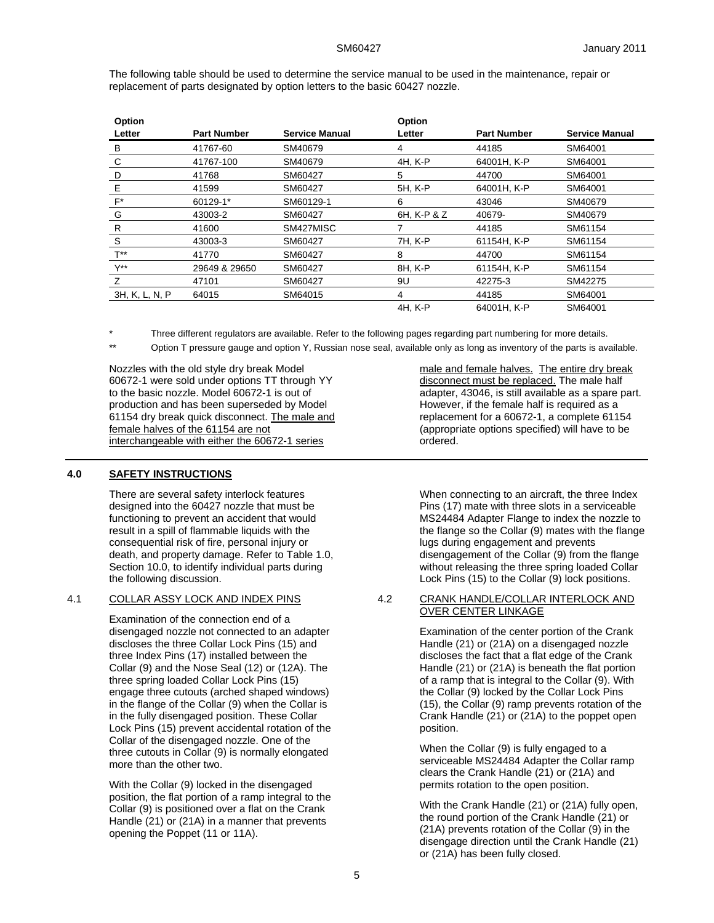The following table should be used to determine the service manual to be used in the maintenance, repair or replacement of parts designated by option letters to the basic 60427 nozzle.

| Option           |                    |                       | Option      |                    |                       |
|------------------|--------------------|-----------------------|-------------|--------------------|-----------------------|
| Letter           | <b>Part Number</b> | <b>Service Manual</b> | Letter      | <b>Part Number</b> | <b>Service Manual</b> |
| B                | 41767-60           | SM40679               | 4           | 44185              | SM64001               |
| C                | 41767-100          | SM40679               | 4H, K-P     | 64001H, K-P        | SM64001               |
| D                | 41768              | SM60427               | 5           | 44700              | SM64001               |
| E                | 41599              | SM60427               | 5H, K-P     | 64001H, K-P        | SM64001               |
| $F^*$            | 60129-1*           | SM60129-1             | 6           | 43046              | SM40679               |
| G                | 43003-2            | SM60427               | 6H, K-P & Z | 40679-             | SM40679               |
| R                | 41600              | SM427MISC             |             | 44185              | SM61154               |
| S                | 43003-3            | SM60427               | 7H, K-P     | 61154H, K-P        | SM61154               |
| $T^{\ast\ast}$   | 41770              | SM60427               | 8           | 44700              | SM61154               |
| $Y^{\star\star}$ | 29649 & 29650      | SM60427               | 8H, K-P     | 61154H, K-P        | SM61154               |
|                  | 47101              | SM60427               | 9U          | 42275-3            | SM42275               |
| 3H, K, L, N, P   | 64015              | SM64015               | 4           | 44185              | SM64001               |
|                  |                    |                       | 4H, K-P     | 64001H, K-P        | SM64001               |

Three different regulators are available. Refer to the following pages regarding part numbering for more details.

\*\* Option T pressure gauge and option Y, Russian nose seal, available only as long as inventory of the parts is available.

Nozzles with the old style dry break Model 60672-1 were sold under options TT through YY to the basic nozzle. Model 60672-1 is out of production and has been superseded by Model 61154 dry break quick disconnect. The male and female halves of the 61154 are not interchangeable with either the 60672-1 series

#### **4.0 SAFETY INSTRUCTIONS**

There are several safety interlock features designed into the 60427 nozzle that must be functioning to prevent an accident that would result in a spill of flammable liquids with the consequential risk of fire, personal injury or death, and property damage. Refer to Table 1.0, Section 10.0, to identify individual parts during the following discussion.

#### 4.1 COLLAR ASSY LOCK AND INDEX PINS

Examination of the connection end of a disengaged nozzle not connected to an adapter discloses the three Collar Lock Pins (15) and three Index Pins (17) installed between the Collar (9) and the Nose Seal (12) or (12A). The three spring loaded Collar Lock Pins (15) engage three cutouts (arched shaped windows) in the flange of the Collar (9) when the Collar is in the fully disengaged position. These Collar Lock Pins (15) prevent accidental rotation of the Collar of the disengaged nozzle. One of the three cutouts in Collar (9) is normally elongated more than the other two.

With the Collar (9) locked in the disengaged position, the flat portion of a ramp integral to the Collar (9) is positioned over a flat on the Crank Handle (21) or (21A) in a manner that prevents opening the Poppet (11 or 11A).

male and female halves. The entire dry break disconnect must be replaced. The male half adapter, 43046, is still available as a spare part. However, if the female half is required as a replacement for a 60672-1, a complete 61154 (appropriate options specified) will have to be ordered.

When connecting to an aircraft, the three Index Pins (17) mate with three slots in a serviceable MS24484 Adapter Flange to index the nozzle to the flange so the Collar (9) mates with the flange lugs during engagement and prevents disengagement of the Collar (9) from the flange without releasing the three spring loaded Collar Lock Pins (15) to the Collar (9) lock positions.

4.2 CRANK HANDLE/COLLAR INTERLOCK AND OVER CENTER LINKAGE

> Examination of the center portion of the Crank Handle (21) or (21A) on a disengaged nozzle discloses the fact that a flat edge of the Crank Handle (21) or (21A) is beneath the flat portion of a ramp that is integral to the Collar (9). With the Collar (9) locked by the Collar Lock Pins (15), the Collar (9) ramp prevents rotation of the Crank Handle (21) or (21A) to the poppet open position.

When the Collar (9) is fully engaged to a serviceable MS24484 Adapter the Collar ramp clears the Crank Handle (21) or (21A) and permits rotation to the open position.

With the Crank Handle (21) or (21A) fully open, the round portion of the Crank Handle (21) or (21A) prevents rotation of the Collar (9) in the disengage direction until the Crank Handle (21) or (21A) has been fully closed.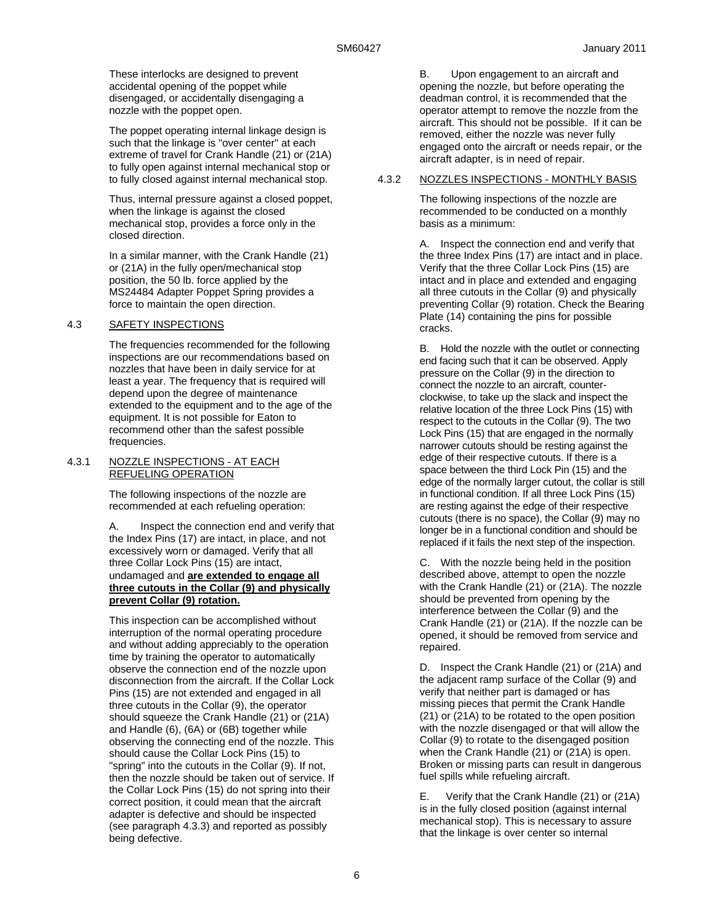These interlocks are designed to prevent accidental opening of the poppet while disengaged, or accidentally disengaging a nozzle with the poppet open.

The poppet operating internal linkage design is such that the linkage is "over center" at each extreme of travel for Crank Handle (21) or (21A) to fully open against internal mechanical stop or to fully closed against internal mechanical stop.

Thus, internal pressure against a closed poppet, when the linkage is against the closed mechanical stop, provides a force only in the closed direction.

In a similar manner, with the Crank Handle (21) or (21A) in the fully open/mechanical stop position, the 50 lb. force applied by the MS24484 Adapter Poppet Spring provides a force to maintain the open direction.

#### 4.3 SAFETY INSPECTIONS

The frequencies recommended for the following inspections are our recommendations based on nozzles that have been in daily service for at least a year. The frequency that is required will depend upon the degree of maintenance extended to the equipment and to the age of the equipment. It is not possible for Eaton to recommend other than the safest possible frequencies.

#### 4.3.1 NOZZLE INSPECTIONS - AT EACH REFUELING OPERATION

The following inspections of the nozzle are recommended at each refueling operation:

A. Inspect the connection end and verify that the Index Pins (17) are intact, in place, and not excessively worn or damaged. Verify that all three Collar Lock Pins (15) are intact, undamaged and **are extended to engage all three cutouts in the Collar (9) and physically prevent Collar (9) rotation.**

This inspection can be accomplished without interruption of the normal operating procedure and without adding appreciably to the operation time by training the operator to automatically observe the connection end of the nozzle upon disconnection from the aircraft. If the Collar Lock Pins (15) are not extended and engaged in all three cutouts in the Collar (9), the operator should squeeze the Crank Handle (21) or (21A) and Handle (6), (6A) or (6B) together while observing the connecting end of the nozzle. This should cause the Collar Lock Pins (15) to "spring" into the cutouts in the Collar (9). If not, then the nozzle should be taken out of service. If the Collar Lock Pins (15) do not spring into their correct position, it could mean that the aircraft adapter is defective and should be inspected (see paragraph 4.3.3) and reported as possibly being defective.

B. Upon engagement to an aircraft and opening the nozzle, but before operating the deadman control, it is recommended that the operator attempt to remove the nozzle from the aircraft. This should not be possible. If it can be removed, either the nozzle was never fully engaged onto the aircraft or needs repair, or the aircraft adapter, is in need of repair.

#### 4.3.2 NOZZLES INSPECTIONS - MONTHLY BASIS

The following inspections of the nozzle are recommended to be conducted on a monthly basis as a minimum:

A. Inspect the connection end and verify that the three Index Pins (17) are intact and in place. Verify that the three Collar Lock Pins (15) are intact and in place and extended and engaging all three cutouts in the Collar (9) and physically preventing Collar (9) rotation. Check the Bearing Plate (14) containing the pins for possible cracks.

B. Hold the nozzle with the outlet or connecting end facing such that it can be observed. Apply pressure on the Collar (9) in the direction to connect the nozzle to an aircraft, counterclockwise, to take up the slack and inspect the relative location of the three Lock Pins (15) with respect to the cutouts in the Collar (9). The two Lock Pins (15) that are engaged in the normally narrower cutouts should be resting against the edge of their respective cutouts. If there is a space between the third Lock Pin (15) and the edge of the normally larger cutout, the collar is still in functional condition. If all three Lock Pins (15) are resting against the edge of their respective cutouts (there is no space), the Collar (9) may no longer be in a functional condition and should be replaced if it fails the next step of the inspection.

C. With the nozzle being held in the position described above, attempt to open the nozzle with the Crank Handle (21) or (21A). The nozzle should be prevented from opening by the interference between the Collar (9) and the Crank Handle (21) or (21A). If the nozzle can be opened, it should be removed from service and repaired.

D. Inspect the Crank Handle (21) or (21A) and the adjacent ramp surface of the Collar (9) and verify that neither part is damaged or has missing pieces that permit the Crank Handle (21) or (21A) to be rotated to the open position with the nozzle disengaged or that will allow the Collar (9) to rotate to the disengaged position when the Crank Handle (21) or (21A) is open. Broken or missing parts can result in dangerous fuel spills while refueling aircraft.

E. Verify that the Crank Handle (21) or (21A) is in the fully closed position (against internal mechanical stop). This is necessary to assure that the linkage is over center so internal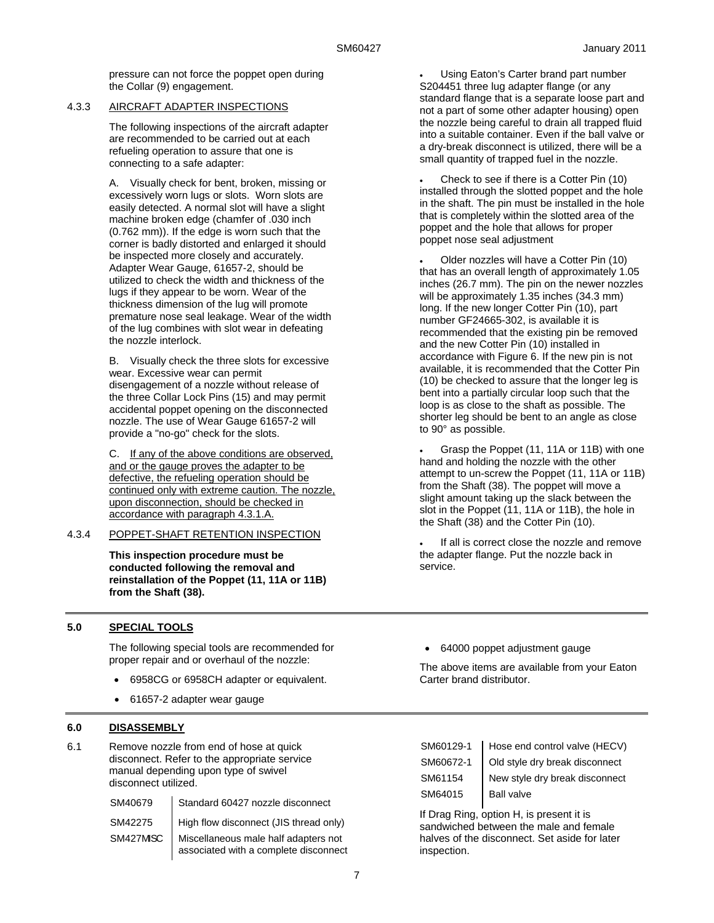pressure can not force the poppet open during the Collar (9) engagement.

#### 4.3.3 AIRCRAFT ADAPTER INSPECTIONS

The following inspections of the aircraft adapter are recommended to be carried out at each refueling operation to assure that one is connecting to a safe adapter:

A. Visually check for bent, broken, missing or excessively worn lugs or slots. Worn slots are easily detected. A normal slot will have a slight machine broken edge (chamfer of .030 inch (0.762 mm)). If the edge is worn such that the corner is badly distorted and enlarged it should be inspected more closely and accurately. Adapter Wear Gauge, 61657-2, should be utilized to check the width and thickness of the lugs if they appear to be worn. Wear of the thickness dimension of the lug will promote premature nose seal leakage. Wear of the width of the lug combines with slot wear in defeating the nozzle interlock.

B. Visually check the three slots for excessive wear. Excessive wear can permit disengagement of a nozzle without release of the three Collar Lock Pins (15) and may permit accidental poppet opening on the disconnected nozzle. The use of Wear Gauge 61657-2 will provide a "no-go" check for the slots.

C. If any of the above conditions are observed, and or the gauge proves the adapter to be defective, the refueling operation should be continued only with extreme caution. The nozzle, upon disconnection, should be checked in accordance with paragraph 4.3.1.A.

4.3.4 POPPET-SHAFT RETENTION INSPECTION

**This inspection procedure must be conducted following the removal and reinstallation of the Poppet (11, 11A or 11B) from the Shaft (38).** 

### **5.0 SPECIAL TOOLS**

The following special tools are recommended for proper repair and or overhaul of the nozzle:

- 6958CG or 6958CH adapter or equivalent.
- 61657-2 adapter wear gauge

#### **6.0 DISASSEMBLY**

6.1 Remove nozzle from end of hose at quick disconnect. Refer to the appropriate service manual depending upon type of swivel disconnect utilized.

| SM40679   | Standard 60427 nozzle disconnect                                              |
|-----------|-------------------------------------------------------------------------------|
| SM42275   | High flow disconnect (JIS thread only)                                        |
| SM427MISC | Miscellaneous male half adapters not<br>associated with a complete disconnect |

 Using Eaton's Carter brand part number S204451 three lug adapter flange (or any standard flange that is a separate loose part and not a part of some other adapter housing) open the nozzle being careful to drain all trapped fluid into a suitable container. Even if the ball valve or a dry-break disconnect is utilized, there will be a small quantity of trapped fuel in the nozzle.

 Check to see if there is a Cotter Pin (10) installed through the slotted poppet and the hole in the shaft. The pin must be installed in the hole that is completely within the slotted area of the poppet and the hole that allows for proper poppet nose seal adjustment

 Older nozzles will have a Cotter Pin (10) that has an overall length of approximately 1.05 inches (26.7 mm). The pin on the newer nozzles will be approximately 1.35 inches (34.3 mm) long. If the new longer Cotter Pin (10), part number GF24665-302, is available it is recommended that the existing pin be removed and the new Cotter Pin (10) installed in accordance with Figure 6. If the new pin is not available, it is recommended that the Cotter Pin (10) be checked to assure that the longer leg is bent into a partially circular loop such that the loop is as close to the shaft as possible. The shorter leg should be bent to an angle as close to 90° as possible.

 Grasp the Poppet (11, 11A or 11B) with one hand and holding the nozzle with the other attempt to un-screw the Poppet (11, 11A or 11B) from the Shaft (38). The poppet will move a slight amount taking up the slack between the slot in the Poppet (11, 11A or 11B), the hole in the Shaft (38) and the Cotter Pin (10).

 If all is correct close the nozzle and remove the adapter flange. Put the nozzle back in service.

### 64000 poppet adjustment gauge

The above items are available from your Eaton Carter brand distributor.

| SM60129-1 | Hose end control valve (HECV)  |
|-----------|--------------------------------|
| SM60672-1 | Old style dry break disconnect |
| SM61154   | New style dry break disconnect |
| SM64015   | <b>Ball valve</b>              |
|           |                                |

If Drag Ring, option H, is present it is sandwiched between the male and female halves of the disconnect. Set aside for later inspection.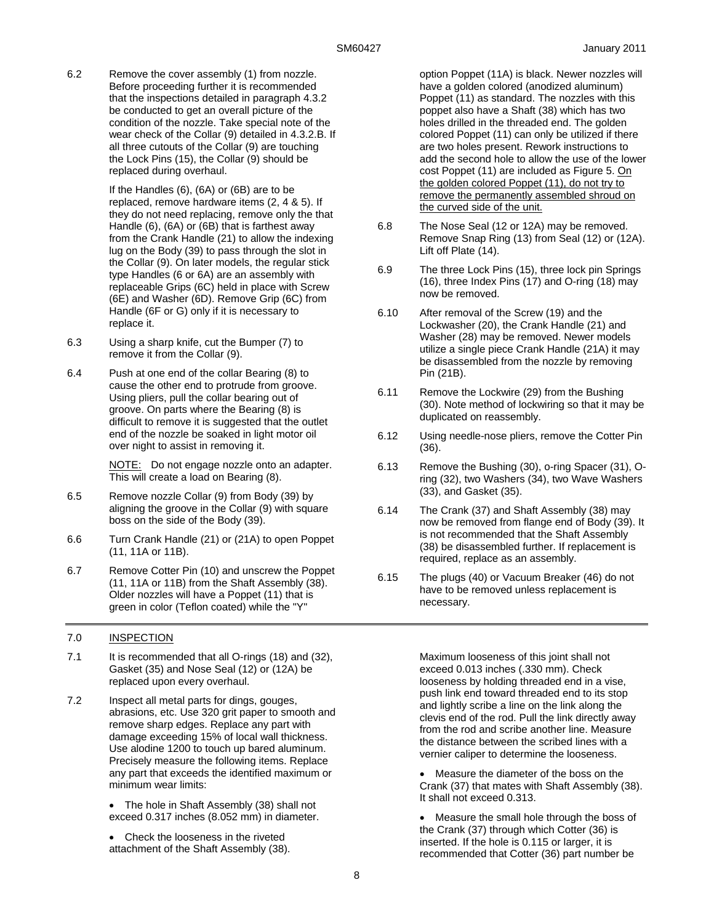6.2 Remove the cover assembly (1) from nozzle. Before proceeding further it is recommended that the inspections detailed in paragraph 4.3.2 be conducted to get an overall picture of the condition of the nozzle. Take special note of the wear check of the Collar (9) detailed in 4.3.2.B. If all three cutouts of the Collar (9) are touching the Lock Pins (15), the Collar (9) should be replaced during overhaul.

> If the Handles (6), (6A) or (6B) are to be replaced, remove hardware items (2, 4 & 5). If they do not need replacing, remove only the that Handle (6), (6A) or (6B) that is farthest away from the Crank Handle (21) to allow the indexing lug on the Body (39) to pass through the slot in the Collar (9). On later models, the regular stick type Handles (6 or 6A) are an assembly with replaceable Grips (6C) held in place with Screw (6E) and Washer (6D). Remove Grip (6C) from Handle (6F or G) only if it is necessary to replace it.

- 6.3 Using a sharp knife, cut the Bumper (7) to remove it from the Collar (9).
- 6.4 Push at one end of the collar Bearing (8) to cause the other end to protrude from groove. Using pliers, pull the collar bearing out of groove. On parts where the Bearing (8) is difficult to remove it is suggested that the outlet end of the nozzle be soaked in light motor oil over night to assist in removing it.

NOTE: Do not engage nozzle onto an adapter. This will create a load on Bearing (8).

- 6.5 Remove nozzle Collar (9) from Body (39) by aligning the groove in the Collar (9) with square boss on the side of the Body (39).
- 6.6 Turn Crank Handle (21) or (21A) to open Poppet (11, 11A or 11B).
- 6.7 Remove Cotter Pin (10) and unscrew the Poppet (11, 11A or 11B) from the Shaft Assembly (38). Older nozzles will have a Poppet (11) that is green in color (Teflon coated) while the "Y"

#### 7.0 INSPECTION

- 7.1 It is recommended that all O-rings (18) and (32), Gasket (35) and Nose Seal (12) or (12A) be replaced upon every overhaul.
- 7.2 Inspect all metal parts for dings, gouges, abrasions, etc. Use 320 grit paper to smooth and remove sharp edges. Replace any part with damage exceeding 15% of local wall thickness. Use alodine 1200 to touch up bared aluminum. Precisely measure the following items. Replace any part that exceeds the identified maximum or minimum wear limits:

• The hole in Shaft Assembly (38) shall not exceed 0.317 inches (8.052 mm) in diameter.

 Check the looseness in the riveted attachment of the Shaft Assembly (38). option Poppet (11A) is black. Newer nozzles will have a golden colored (anodized aluminum) Poppet (11) as standard. The nozzles with this poppet also have a Shaft (38) which has two holes drilled in the threaded end. The golden colored Poppet (11) can only be utilized if there are two holes present. Rework instructions to add the second hole to allow the use of the lower cost Poppet (11) are included as Figure 5. On the golden colored Poppet (11), do not try to remove the permanently assembled shroud on the curved side of the unit.

- 6.8 The Nose Seal (12 or 12A) may be removed. Remove Snap Ring (13) from Seal (12) or (12A). Lift off Plate (14).
- 6.9 The three Lock Pins (15), three lock pin Springs (16), three Index Pins (17) and O-ring (18) may now be removed.
- 6.10 After removal of the Screw (19) and the Lockwasher (20), the Crank Handle (21) and Washer (28) may be removed. Newer models utilize a single piece Crank Handle (21A) it may be disassembled from the nozzle by removing Pin (21B).
- 6.11 Remove the Lockwire (29) from the Bushing (30). Note method of lockwiring so that it may be duplicated on reassembly.
- 6.12 Using needle-nose pliers, remove the Cotter Pin (36).
- 6.13 Remove the Bushing (30), o-ring Spacer (31), Oring (32), two Washers (34), two Wave Washers (33), and Gasket (35).
- 6.14 The Crank (37) and Shaft Assembly (38) may now be removed from flange end of Body (39). It is not recommended that the Shaft Assembly (38) be disassembled further. If replacement is required, replace as an assembly.
- 6.15 The plugs (40) or Vacuum Breaker (46) do not have to be removed unless replacement is necessary.

Maximum looseness of this joint shall not exceed 0.013 inches (.330 mm). Check looseness by holding threaded end in a vise, push link end toward threaded end to its stop and lightly scribe a line on the link along the clevis end of the rod. Pull the link directly away from the rod and scribe another line. Measure the distance between the scribed lines with a vernier caliper to determine the looseness.

 Measure the diameter of the boss on the Crank (37) that mates with Shaft Assembly (38). It shall not exceed 0.313.

 Measure the small hole through the boss of the Crank (37) through which Cotter (36) is inserted. If the hole is 0.115 or larger, it is recommended that Cotter (36) part number be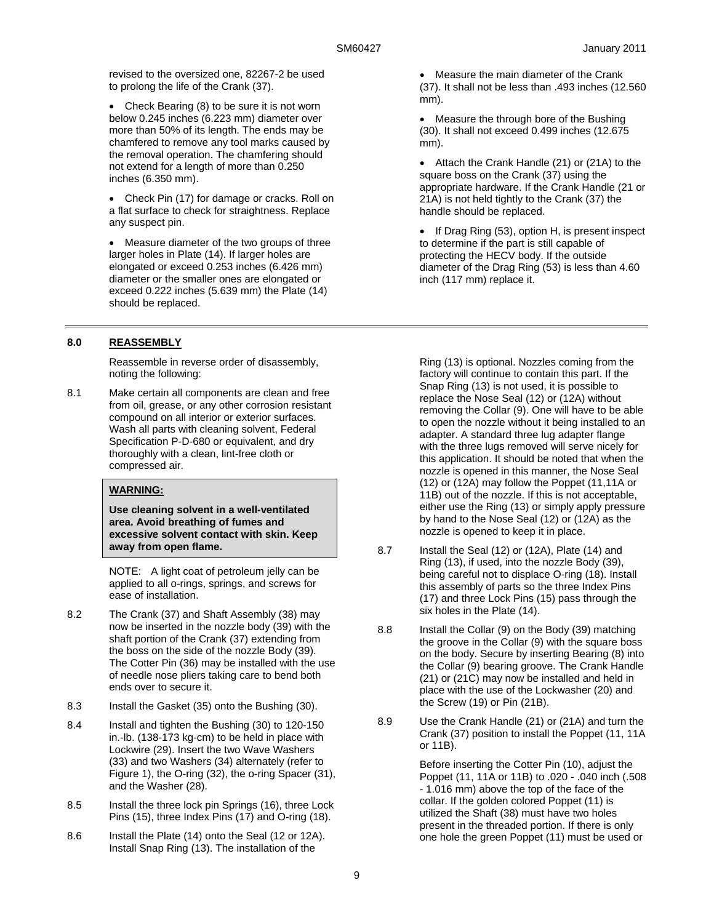revised to the oversized one, 82267-2 be used to prolong the life of the Crank (37).

• Check Bearing (8) to be sure it is not worn below 0.245 inches (6.223 mm) diameter over more than 50% of its length. The ends may be chamfered to remove any tool marks caused by the removal operation. The chamfering should not extend for a length of more than 0.250 inches (6.350 mm).

• Check Pin (17) for damage or cracks. Roll on a flat surface to check for straightness. Replace any suspect pin.

• Measure diameter of the two groups of three larger holes in Plate (14). If larger holes are elongated or exceed 0.253 inches (6.426 mm) diameter or the smaller ones are elongated or exceed 0.222 inches (5.639 mm) the Plate (14) should be replaced.

## **8.0 REASSEMBLY**

Reassemble in reverse order of disassembly, noting the following:

8.1 Make certain all components are clean and free from oil, grease, or any other corrosion resistant compound on all interior or exterior surfaces. Wash all parts with cleaning solvent, Federal Specification P-D-680 or equivalent, and dry thoroughly with a clean, lint-free cloth or compressed air.

### **WARNING:**

**Use cleaning solvent in a well-ventilated area. Avoid breathing of fumes and excessive solvent contact with skin. Keep away from open flame.** 

NOTE: A light coat of petroleum jelly can be applied to all o-rings, springs, and screws for ease of installation.

- 8.2 The Crank (37) and Shaft Assembly (38) may now be inserted in the nozzle body (39) with the shaft portion of the Crank (37) extending from the boss on the side of the nozzle Body (39). The Cotter Pin (36) may be installed with the use of needle nose pliers taking care to bend both ends over to secure it.
- 8.3 Install the Gasket (35) onto the Bushing (30).
- 8.4 Install and tighten the Bushing (30) to 120-150 in.-lb. (138-173 kg-cm) to be held in place with Lockwire (29). Insert the two Wave Washers (33) and two Washers (34) alternately (refer to Figure 1), the O-ring (32), the o-ring Spacer (31), and the Washer (28).
- 8.5 Install the three lock pin Springs (16), three Lock Pins (15), three Index Pins (17) and O-ring (18).
- 8.6 Install the Plate (14) onto the Seal (12 or 12A). Install Snap Ring (13). The installation of the

• Measure the main diameter of the Crank (37). It shall not be less than .493 inches (12.560 mm).

• Measure the through bore of the Bushing (30). It shall not exceed 0.499 inches (12.675 mm).

 Attach the Crank Handle (21) or (21A) to the square boss on the Crank (37) using the appropriate hardware. If the Crank Handle (21 or 21A) is not held tightly to the Crank (37) the handle should be replaced.

• If Drag Ring (53), option H, is present inspect to determine if the part is still capable of protecting the HECV body. If the outside diameter of the Drag Ring (53) is less than 4.60 inch (117 mm) replace it.

Ring (13) is optional. Nozzles coming from the factory will continue to contain this part. If the Snap Ring (13) is not used, it is possible to replace the Nose Seal (12) or (12A) without removing the Collar (9). One will have to be able to open the nozzle without it being installed to an adapter. A standard three lug adapter flange with the three lugs removed will serve nicely for this application. It should be noted that when the nozzle is opened in this manner, the Nose Seal (12) or (12A) may follow the Poppet (11,11A or 11B) out of the nozzle. If this is not acceptable, either use the Ring (13) or simply apply pressure by hand to the Nose Seal (12) or (12A) as the nozzle is opened to keep it in place.

- 8.7 Install the Seal (12) or (12A), Plate (14) and Ring (13), if used, into the nozzle Body (39), being careful not to displace O-ring (18). Install this assembly of parts so the three Index Pins (17) and three Lock Pins (15) pass through the six holes in the Plate (14).
- 8.8 Install the Collar (9) on the Body (39) matching the groove in the Collar (9) with the square boss on the body. Secure by inserting Bearing (8) into the Collar (9) bearing groove. The Crank Handle (21) or (21C) may now be installed and held in place with the use of the Lockwasher (20) and the Screw (19) or Pin (21B).
- 8.9 Use the Crank Handle (21) or (21A) and turn the Crank (37) position to install the Poppet (11, 11A or 11B).

Before inserting the Cotter Pin (10), adjust the Poppet (11, 11A or 11B) to .020 - .040 inch (.508 - 1.016 mm) above the top of the face of the collar. If the golden colored Poppet (11) is utilized the Shaft (38) must have two holes present in the threaded portion. If there is only one hole the green Poppet (11) must be used or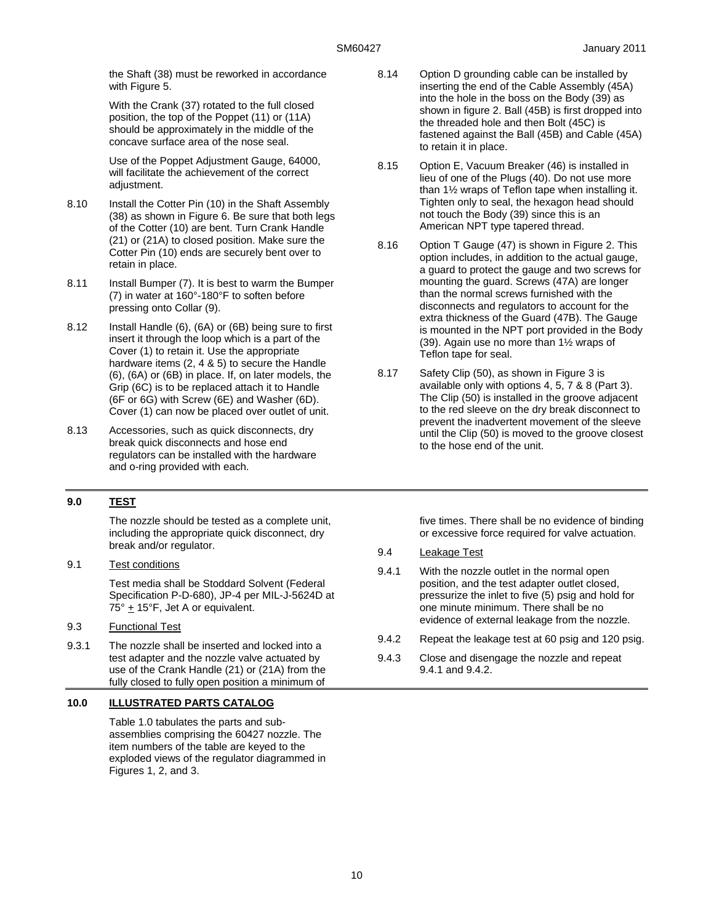the Shaft (38) must be reworked in accordance with Figure 5.

With the Crank (37) rotated to the full closed position, the top of the Poppet (11) or (11A) should be approximately in the middle of the concave surface area of the nose seal.

Use of the Poppet Adjustment Gauge, 64000, will facilitate the achievement of the correct adiustment.

- 8.10 Install the Cotter Pin (10) in the Shaft Assembly (38) as shown in Figure 6. Be sure that both legs of the Cotter (10) are bent. Turn Crank Handle (21) or (21A) to closed position. Make sure the Cotter Pin (10) ends are securely bent over to retain in place.
- 8.11 Install Bumper (7). It is best to warm the Bumper (7) in water at 160°-180°F to soften before pressing onto Collar (9).
- 8.12 Install Handle (6), (6A) or (6B) being sure to first insert it through the loop which is a part of the Cover (1) to retain it. Use the appropriate hardware items (2, 4 & 5) to secure the Handle (6), (6A) or (6B) in place. If, on later models, the Grip (6C) is to be replaced attach it to Handle (6F or 6G) with Screw (6E) and Washer (6D). Cover (1) can now be placed over outlet of unit.
- 8.13 Accessories, such as quick disconnects, dry break quick disconnects and hose end regulators can be installed with the hardware and o-ring provided with each.

### **9.0 TEST**

The nozzle should be tested as a complete unit, including the appropriate quick disconnect, dry break and/or regulator.

9.1 Test conditions

Test media shall be Stoddard Solvent (Federal Specification P-D-680), JP-4 per MIL-J-5624D at  $75^\circ \pm 15^\circ$ F, Jet A or equivalent.

- 9.3 Functional Test
- 9.3.1 The nozzle shall be inserted and locked into a test adapter and the nozzle valve actuated by use of the Crank Handle (21) or (21A) from the fully closed to fully open position a minimum of

### **10.0 ILLUSTRATED PARTS CATALOG**

Table 1.0 tabulates the parts and subassemblies comprising the 60427 nozzle. The item numbers of the table are keyed to the exploded views of the regulator diagrammed in Figures 1, 2, and 3.

- 8.14 Option D grounding cable can be installed by inserting the end of the Cable Assembly (45A) into the hole in the boss on the Body (39) as shown in figure 2. Ball (45B) is first dropped into the threaded hole and then Bolt (45C) is fastened against the Ball (45B) and Cable (45A) to retain it in place.
- 8.15 Option E, Vacuum Breaker (46) is installed in lieu of one of the Plugs (40). Do not use more than 1½ wraps of Teflon tape when installing it. Tighten only to seal, the hexagon head should not touch the Body (39) since this is an American NPT type tapered thread.
- 8.16 Option T Gauge (47) is shown in Figure 2. This option includes, in addition to the actual gauge, a guard to protect the gauge and two screws for mounting the guard. Screws (47A) are longer than the normal screws furnished with the disconnects and regulators to account for the extra thickness of the Guard (47B). The Gauge is mounted in the NPT port provided in the Body (39). Again use no more than 1½ wraps of Teflon tape for seal.
- 8.17 Safety Clip (50), as shown in Figure 3 is available only with options 4, 5, 7 & 8 (Part 3). The Clip (50) is installed in the groove adjacent to the red sleeve on the dry break disconnect to prevent the inadvertent movement of the sleeve until the Clip (50) is moved to the groove closest to the hose end of the unit.

five times. There shall be no evidence of binding or excessive force required for valve actuation.

- 9.4 Leakage Test
- 9.4.1 With the nozzle outlet in the normal open position, and the test adapter outlet closed, pressurize the inlet to five (5) psig and hold for one minute minimum. There shall be no evidence of external leakage from the nozzle.
- 9.4.2 Repeat the leakage test at 60 psig and 120 psig.
- 9.4.3 Close and disengage the nozzle and repeat 9.4.1 and 9.4.2.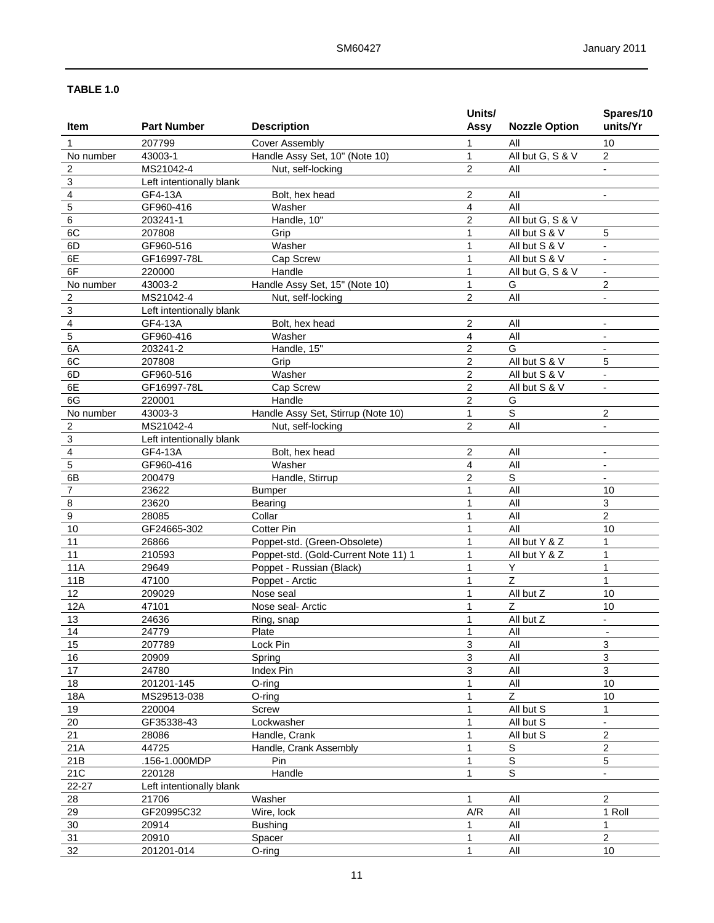# **TABLE 1.0**

|                         |                          |                                      | Units/                  |                      | Spares/10                |
|-------------------------|--------------------------|--------------------------------------|-------------------------|----------------------|--------------------------|
| <b>Item</b>             | <b>Part Number</b>       | <b>Description</b>                   | <b>Assy</b>             | <b>Nozzle Option</b> | units/Yr                 |
| 1                       | 207799                   | <b>Cover Assembly</b>                | $\mathbf{1}$            | All                  | 10                       |
| No number               | 43003-1                  | Handle Assy Set, 10" (Note 10)       | $\mathbf{1}$            | All but G, S & V     | $\overline{2}$           |
| 2                       | MS21042-4                | Nut, self-locking                    | $\overline{2}$          | All                  | $\blacksquare$           |
| 3                       | Left intentionally blank |                                      |                         |                      |                          |
| $\overline{\mathbf{4}}$ | GF4-13A                  | Bolt, hex head                       | 2                       | All                  | $\blacksquare$           |
| 5                       | GF960-416                | Washer                               | $\overline{4}$          | All                  |                          |
| 6                       | 203241-1                 | Handle, 10"                          | $\overline{2}$          | All but G, S & V     |                          |
| 6C                      | 207808                   | Grip                                 | 1                       | All but S & V        | 5                        |
| 6D                      | GF960-516                | Washer                               | 1                       | All but S & V        | $\blacksquare$           |
| 6E                      | GF16997-78L              | Cap Screw                            |                         | All but S & V        |                          |
| 6F                      | 220000                   | Handle                               | 1                       | All but G, S & V     |                          |
| No number               | 43003-2                  | Handle Assy Set, 15" (Note 10)       | 1                       | G                    | 2                        |
| $\overline{c}$          | MS21042-4                | Nut, self-locking                    | $\overline{2}$          | All                  |                          |
| 3                       | Left intentionally blank |                                      |                         |                      |                          |
| 4                       | GF4-13A                  | Bolt, hex head                       | $\overline{2}$          | All                  | $\overline{\phantom{a}}$ |
| 5                       | GF960-416                | Washer                               | 4                       | All                  | $\overline{\phantom{a}}$ |
| 6A                      | 203241-2                 | Handle, 15"                          | $\overline{\mathbf{c}}$ | G                    |                          |
| 6C                      | 207808                   | Grip                                 | $\overline{2}$          | All but S & V        | 5                        |
| 6D                      | GF960-516                | Washer                               | $\overline{2}$          | All but S & V        | $\overline{\phantom{a}}$ |
| 6E                      | GF16997-78L              | Cap Screw                            | $\overline{2}$          | All but S & V        |                          |
| 6G                      | 220001                   | Handle                               | $\overline{2}$          | G                    |                          |
| No number               | 43003-3                  | Handle Assy Set, Stirrup (Note 10)   | 1                       | S                    | $\boldsymbol{2}$         |
| 2                       | MS21042-4                | Nut, self-locking                    | $\overline{2}$          | All                  |                          |
| 3                       | Left intentionally blank |                                      |                         |                      |                          |
| $\overline{\mathbf{4}}$ | GF4-13A                  | Bolt, hex head                       | $\overline{c}$          | All                  | $\overline{a}$           |
| 5                       | GF960-416                | Washer                               | 4                       | All                  | $\overline{\phantom{0}}$ |
| 6B                      | 200479                   | Handle, Stirrup                      | $\overline{2}$          | $\mathsf S$          | $\overline{\phantom{a}}$ |
| 7                       | 23622                    | <b>Bumper</b>                        |                         | All                  | 10                       |
| 8                       | 23620                    | <b>Bearing</b>                       |                         | All                  | 3                        |
| 9                       | 28085                    | Collar                               |                         | All                  | $\overline{c}$           |
| 10                      | GF24665-302              | <b>Cotter Pin</b>                    |                         | All                  | 10                       |
| 11                      | 26866                    | Poppet-std. (Green-Obsolete)         |                         | All but Y & Z        | 1                        |
| 11                      | 210593                   | Poppet-std. (Gold-Current Note 11) 1 | 1                       | All but Y & Z        | $\mathbf{1}$             |
| 11A                     | 29649                    | Poppet - Russian (Black)             | 1                       | Y                    | $\mathbf{1}$             |
| 11B                     | 47100                    | Poppet - Arctic                      |                         | Z                    | $\mathbf{1}$             |
| 12                      | 209029                   | Nose seal                            |                         | All but Z            | 10                       |
| 12A                     | 47101                    | Nose seal- Arctic                    |                         | Z                    | 10                       |
| 13                      | 24636                    | Ring, snap                           | 1                       | All but Z            | $\overline{\phantom{a}}$ |
| 14                      | 24779                    | Plate                                | $\mathbf{1}$            | $\mathsf{All}$       |                          |
| 15                      | 207789                   | Lock Pin                             | 3                       | All                  | $\mathsf 3$              |
| 16                      | 20909                    | Spring                               | 3                       | All                  | 3                        |
| 17                      | 24780                    | Index Pin                            | 3                       | All                  | $\mathbf{3}$             |
| 18                      | 201201-145               | O-ring                               |                         | $\mathsf{All}$       | 10                       |
| 18A                     | MS29513-038              | O-ring                               |                         | Z                    | 10                       |
| 19                      | 220004                   | <b>Screw</b>                         |                         | All but S            | 1                        |
| 20                      | GF35338-43               | Lockwasher                           | 1                       | All but S            | $\overline{\phantom{a}}$ |
| 21                      | 28086                    | Handle, Crank                        | 1                       | All but S            | $\overline{c}$           |
| 21A                     | 44725                    | Handle, Crank Assembly               |                         | S                    | 2                        |
| 21B                     | .156-1.000MDP            | Pin                                  |                         | $\mathsf S$          | $\sqrt{5}$               |
| 21C                     | 220128                   | Handle                               |                         | $\mathsf S$          | $\overline{\phantom{0}}$ |
| 22-27                   | Left intentionally blank |                                      |                         |                      |                          |
| 28                      | 21706                    | Washer                               | 1                       | All                  | $\overline{c}$           |
| 29                      | GF20995C32               | Wire, lock                           | A/R                     | All                  | 1 Roll                   |
| 30                      | 20914                    | <b>Bushing</b>                       |                         | All                  | 1                        |
| 31                      | 20910                    | Spacer                               |                         | All                  | $\mathbf 2$              |
| 32                      | 201201-014               | O-ring                               |                         | All                  | 10                       |
|                         |                          |                                      |                         |                      |                          |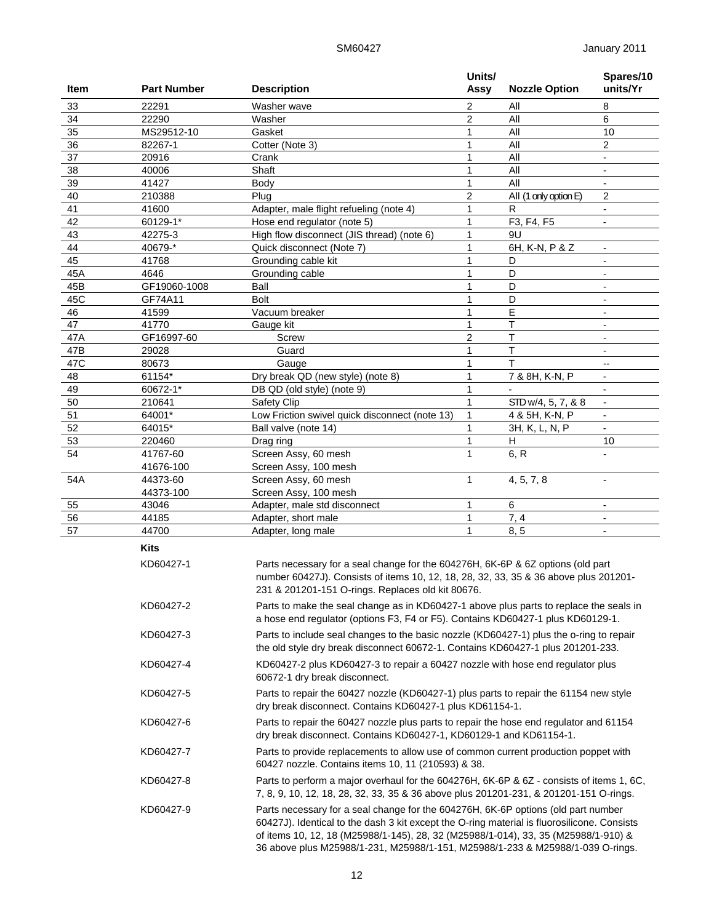| <b>Item</b> | <b>Part Number</b> | <b>Description</b>                                                                                                                                                                                                                                                                                                                                       | Units/<br>Assy                                                                                                                                                             | <b>Nozzle Option</b>  | Spares/10<br>units/Yr    |  |
|-------------|--------------------|----------------------------------------------------------------------------------------------------------------------------------------------------------------------------------------------------------------------------------------------------------------------------------------------------------------------------------------------------------|----------------------------------------------------------------------------------------------------------------------------------------------------------------------------|-----------------------|--------------------------|--|
| 33          | 22291              | Washer wave                                                                                                                                                                                                                                                                                                                                              | $\overline{c}$                                                                                                                                                             | All                   | 8                        |  |
| 34          | 22290              | Washer                                                                                                                                                                                                                                                                                                                                                   | $\overline{2}$                                                                                                                                                             | All                   | 6                        |  |
| 35          | MS29512-10         | Gasket                                                                                                                                                                                                                                                                                                                                                   | 1                                                                                                                                                                          | All                   | 10                       |  |
| 36          | 82267-1            | Cotter (Note 3)                                                                                                                                                                                                                                                                                                                                          |                                                                                                                                                                            | All                   | $\sqrt{2}$               |  |
| 37          | 20916              | Crank                                                                                                                                                                                                                                                                                                                                                    |                                                                                                                                                                            | All                   | $\overline{\phantom{a}}$ |  |
| 38          | 40006              | Shaft                                                                                                                                                                                                                                                                                                                                                    |                                                                                                                                                                            | All                   | $\overline{\phantom{a}}$ |  |
| 39          | 41427              | Body                                                                                                                                                                                                                                                                                                                                                     |                                                                                                                                                                            | All                   | $\overline{\phantom{a}}$ |  |
| 40          | 210388             | Plug                                                                                                                                                                                                                                                                                                                                                     | $\overline{c}$                                                                                                                                                             | All (1 only option E) | $\overline{c}$           |  |
| 41          | 41600              | Adapter, male flight refueling (note 4)                                                                                                                                                                                                                                                                                                                  | 1                                                                                                                                                                          | R                     | $\overline{\phantom{a}}$ |  |
| 42          | 60129-1*           | Hose end regulator (note 5)                                                                                                                                                                                                                                                                                                                              |                                                                                                                                                                            | F3, F4, F5            | $\overline{\phantom{a}}$ |  |
| 43          | 42275-3            | High flow disconnect (JIS thread) (note 6)                                                                                                                                                                                                                                                                                                               | 1                                                                                                                                                                          | 9U                    |                          |  |
| 44          | 40679-*            | Quick disconnect (Note 7)                                                                                                                                                                                                                                                                                                                                | 1                                                                                                                                                                          | 6H, K-N, P & Z        | $\overline{\phantom{a}}$ |  |
| 45          | 41768              | Grounding cable kit                                                                                                                                                                                                                                                                                                                                      | 1                                                                                                                                                                          | D                     |                          |  |
| 45A         | 4646               | Grounding cable                                                                                                                                                                                                                                                                                                                                          | 1                                                                                                                                                                          | D                     | $\blacksquare$           |  |
| 45B         | GF19060-1008       | Ball                                                                                                                                                                                                                                                                                                                                                     | 1                                                                                                                                                                          | D                     | $\overline{\phantom{a}}$ |  |
| 45C         | GF74A11            | <b>Bolt</b>                                                                                                                                                                                                                                                                                                                                              |                                                                                                                                                                            | D                     | $\overline{\phantom{a}}$ |  |
| 46          | 41599              | Vacuum breaker                                                                                                                                                                                                                                                                                                                                           |                                                                                                                                                                            | Е                     | $\blacksquare$           |  |
| 47          | 41770              | Gauge kit                                                                                                                                                                                                                                                                                                                                                | 1                                                                                                                                                                          | T                     | $\overline{\phantom{a}}$ |  |
| 47A         | GF16997-60         | <b>Screw</b>                                                                                                                                                                                                                                                                                                                                             | $\overline{c}$                                                                                                                                                             | T                     | $\overline{\phantom{a}}$ |  |
| 47B         | 29028              | Guard                                                                                                                                                                                                                                                                                                                                                    | 1                                                                                                                                                                          | $\mathsf T$           | $\overline{\phantom{a}}$ |  |
| 47C         | 80673              | Gauge                                                                                                                                                                                                                                                                                                                                                    | 1                                                                                                                                                                          | T                     | $\overline{\phantom{a}}$ |  |
| 48          | 61154*             | Dry break QD (new style) (note 8)                                                                                                                                                                                                                                                                                                                        | 1                                                                                                                                                                          | 7 & 8H, K-N, P        | $\overline{\phantom{a}}$ |  |
| 49          | 60672-1*           | DB QD (old style) (note 9)                                                                                                                                                                                                                                                                                                                               | 1                                                                                                                                                                          |                       | $\overline{\phantom{a}}$ |  |
| 50          | 210641             | Safety Clip                                                                                                                                                                                                                                                                                                                                              | 1                                                                                                                                                                          | STD w/4, 5, 7, & 8    | $\overline{\phantom{a}}$ |  |
| 51          | 64001*             | Low Friction swivel quick disconnect (note 13)                                                                                                                                                                                                                                                                                                           | 1                                                                                                                                                                          | 4 & 5H, K-N, P        |                          |  |
| 52          | 64015*             | Ball valve (note 14)                                                                                                                                                                                                                                                                                                                                     |                                                                                                                                                                            | 3H, K, L, N, P        |                          |  |
| 53          | 220460             | Drag ring                                                                                                                                                                                                                                                                                                                                                | 1                                                                                                                                                                          | н                     | 10                       |  |
| 54          | 41767-60           | Screen Assy, 60 mesh                                                                                                                                                                                                                                                                                                                                     | $\mathbf 1$                                                                                                                                                                | 6, R                  |                          |  |
|             | 41676-100          | Screen Assy, 100 mesh                                                                                                                                                                                                                                                                                                                                    |                                                                                                                                                                            |                       |                          |  |
| 54A         | 44373-60           | Screen Assy, 60 mesh                                                                                                                                                                                                                                                                                                                                     | 1                                                                                                                                                                          | 4, 5, 7, 8            |                          |  |
|             | 44373-100          | Screen Assy, 100 mesh                                                                                                                                                                                                                                                                                                                                    |                                                                                                                                                                            |                       |                          |  |
| 55          | 43046              | Adapter, male std disconnect                                                                                                                                                                                                                                                                                                                             | 1                                                                                                                                                                          | 6                     |                          |  |
| 56          | 44185              | Adapter, short male                                                                                                                                                                                                                                                                                                                                      | 1                                                                                                                                                                          | 7, 4                  | $\overline{\phantom{a}}$ |  |
| 57          | 44700              | Adapter, long male                                                                                                                                                                                                                                                                                                                                       | 1                                                                                                                                                                          | 8, 5                  | $\overline{\phantom{a}}$ |  |
|             | <b>Kits</b>        |                                                                                                                                                                                                                                                                                                                                                          |                                                                                                                                                                            |                       |                          |  |
|             | KD60427-1          | Parts necessary for a seal change for the 604276H, 6K-6P & 6Z options (old part<br>number 60427J). Consists of items 10, 12, 18, 28, 32, 33, 35 & 36 above plus 201201-<br>231 & 201201-151 O-rings. Replaces old kit 80676.                                                                                                                             |                                                                                                                                                                            |                       |                          |  |
|             | KD60427-2          | Parts to make the seal change as in KD60427-1 above plus parts to replace the seals in<br>a hose end regulator (options F3, F4 or F5). Contains KD60427-1 plus KD60129-1.                                                                                                                                                                                |                                                                                                                                                                            |                       |                          |  |
|             | KD60427-3          |                                                                                                                                                                                                                                                                                                                                                          | Parts to include seal changes to the basic nozzle (KD60427-1) plus the o-ring to repair<br>the old style dry break disconnect 60672-1. Contains KD60427-1 plus 201201-233. |                       |                          |  |
|             | KD60427-4          | KD60427-2 plus KD60427-3 to repair a 60427 nozzle with hose end regulator plus<br>60672-1 dry break disconnect.                                                                                                                                                                                                                                          |                                                                                                                                                                            |                       |                          |  |
|             | KD60427-5          | Parts to repair the 60427 nozzle (KD60427-1) plus parts to repair the 61154 new style<br>dry break disconnect. Contains KD60427-1 plus KD61154-1.                                                                                                                                                                                                        |                                                                                                                                                                            |                       |                          |  |
|             | KD60427-6          | Parts to repair the 60427 nozzle plus parts to repair the hose end regulator and 61154<br>dry break disconnect. Contains KD60427-1, KD60129-1 and KD61154-1.                                                                                                                                                                                             |                                                                                                                                                                            |                       |                          |  |
|             | KD60427-7          | Parts to provide replacements to allow use of common current production poppet with<br>60427 nozzle. Contains items 10, 11 (210593) & 38.                                                                                                                                                                                                                |                                                                                                                                                                            |                       |                          |  |
|             | KD60427-8          | Parts to perform a major overhaul for the 604276H, 6K-6P & 6Z - consists of items 1, 6C,<br>7, 8, 9, 10, 12, 18, 28, 32, 33, 35 & 36 above plus 201201-231, & 201201-151 O-rings.                                                                                                                                                                        |                                                                                                                                                                            |                       |                          |  |
|             | KD60427-9          | Parts necessary for a seal change for the 604276H, 6K-6P options (old part number<br>60427J). Identical to the dash 3 kit except the O-ring material is fluorosilicone. Consists<br>of items 10, 12, 18 (M25988/1-145), 28, 32 (M25988/1-014), 33, 35 (M25988/1-910) &<br>36 above plus M25988/1-231, M25988/1-151, M25988/1-233 & M25988/1-039 O-rings. |                                                                                                                                                                            |                       |                          |  |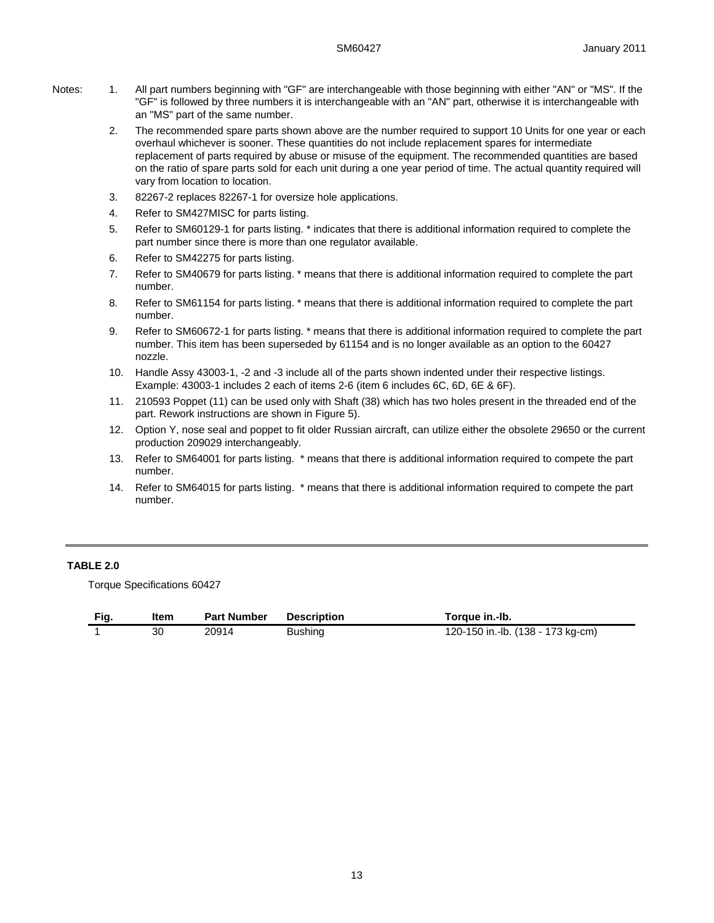- Notes: 1. All part numbers beginning with "GF" are interchangeable with those beginning with either "AN" or "MS". If the "GF" is followed by three numbers it is interchangeable with an "AN" part, otherwise it is interchangeable with an "MS" part of the same number.
	- 2. The recommended spare parts shown above are the number required to support 10 Units for one year or each overhaul whichever is sooner. These quantities do not include replacement spares for intermediate replacement of parts required by abuse or misuse of the equipment. The recommended quantities are based on the ratio of spare parts sold for each unit during a one year period of time. The actual quantity required will vary from location to location.
	- 3. 82267-2 replaces 82267-1 for oversize hole applications.
	- 4. Refer to SM427MISC for parts listing.
	- 5. Refer to SM60129-1 for parts listing. \* indicates that there is additional information required to complete the part number since there is more than one regulator available.
	- 6. Refer to SM42275 for parts listing.
	- 7. Refer to SM40679 for parts listing. \* means that there is additional information required to complete the part number.
	- 8. Refer to SM61154 for parts listing. \* means that there is additional information required to complete the part number.
	- 9. Refer to SM60672-1 for parts listing. \* means that there is additional information required to complete the part number. This item has been superseded by 61154 and is no longer available as an option to the 60427 nozzle.
	- 10. Handle Assy 43003-1, -2 and -3 include all of the parts shown indented under their respective listings. Example: 43003-1 includes 2 each of items 2-6 (item 6 includes 6C, 6D, 6E & 6F).
	- 11. 210593 Poppet (11) can be used only with Shaft (38) which has two holes present in the threaded end of the part. Rework instructions are shown in Figure 5).
	- 12. Option Y, nose seal and poppet to fit older Russian aircraft, can utilize either the obsolete 29650 or the current production 209029 interchangeably.
	- 13. Refer to SM64001 for parts listing. \* means that there is additional information required to compete the part number.
	- 14. Refer to SM64015 for parts listing. \* means that there is additional information required to compete the part number.

### **TABLE 2.0**

Torque Specifications 60427

| Fig. | Item | <b>Part Number</b> | <b>Description</b> | Torque in.-Ib.                    |
|------|------|--------------------|--------------------|-----------------------------------|
|      |      | 20914              | <b>Bushing</b>     | 120-150 in.-lb. (138 - 173 kg-cm) |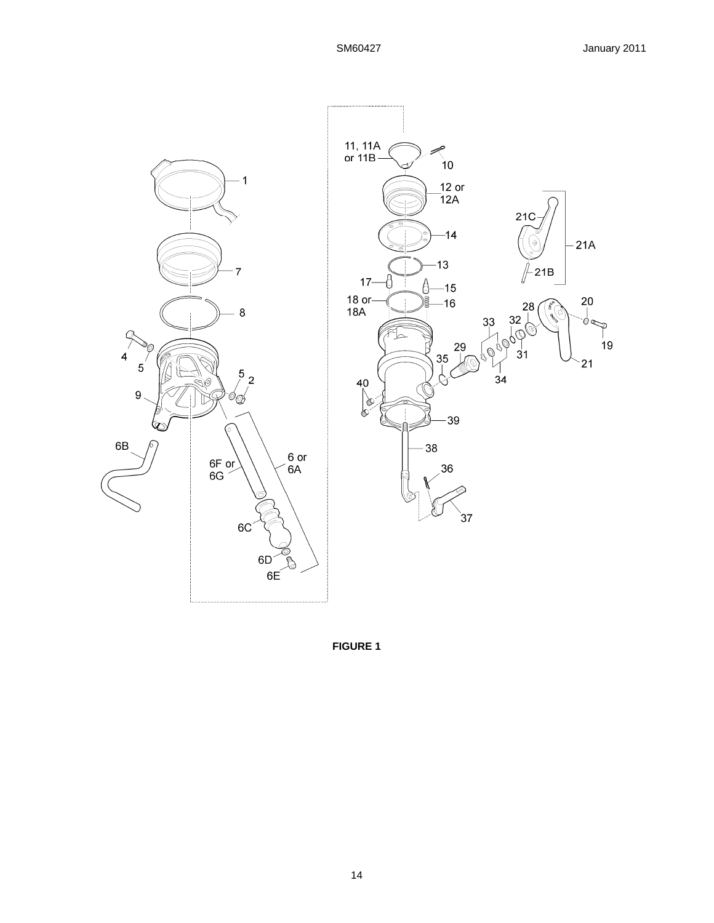

**FIGURE 1**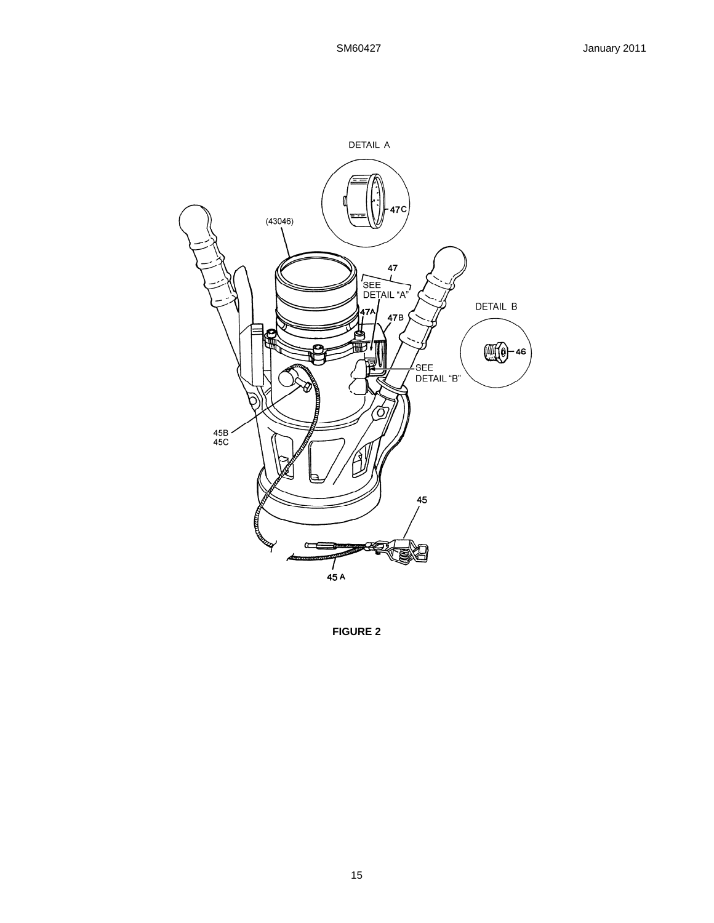

**FIGURE 2**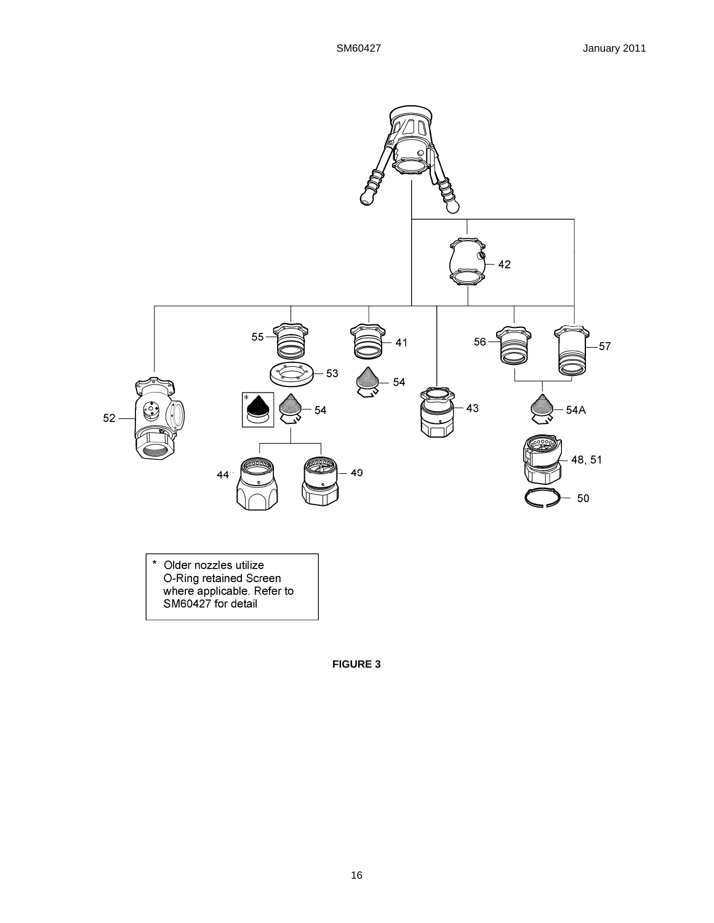

Older nozzles utilize<br>O-Ring retained Screen<br>where applicable. Refer to<br>SM60427 for detail  $\star$ 

**FIGURE 3**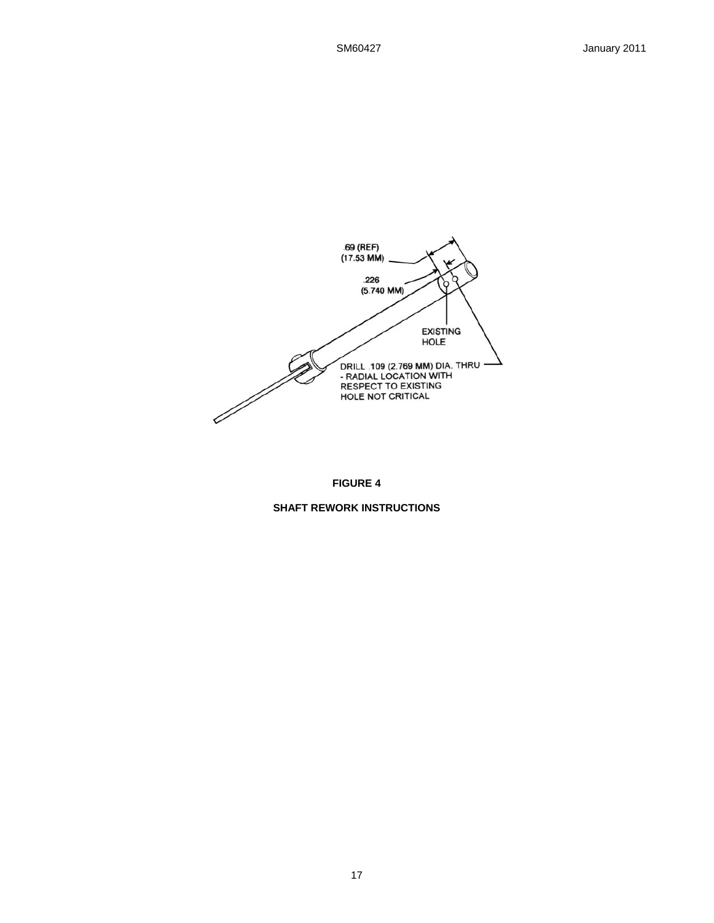

#### **FIGURE 4**

#### **SHAFT REWORK INSTRUCTIONS**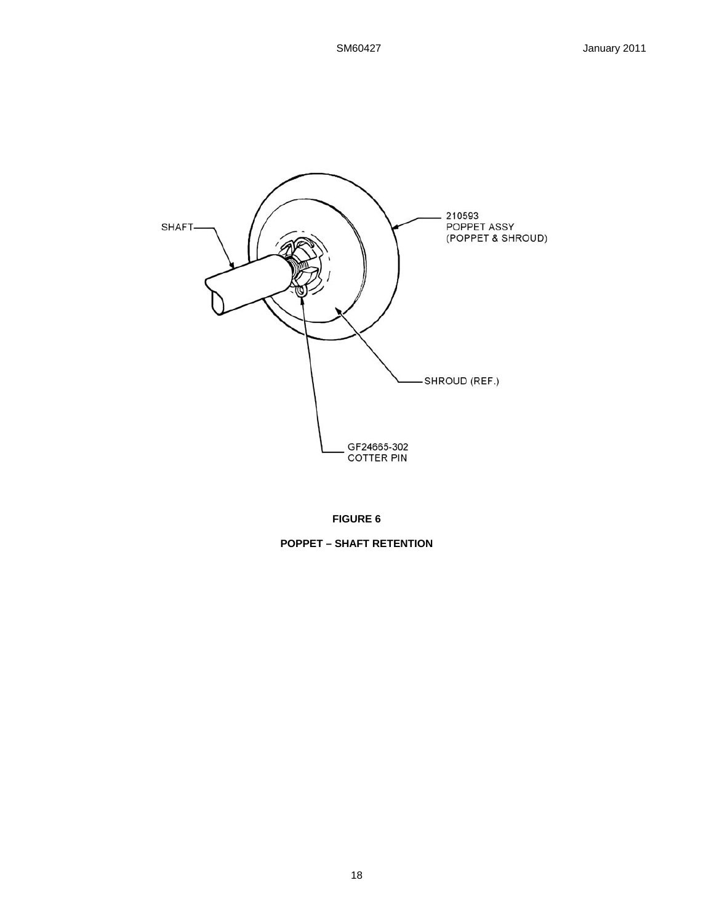



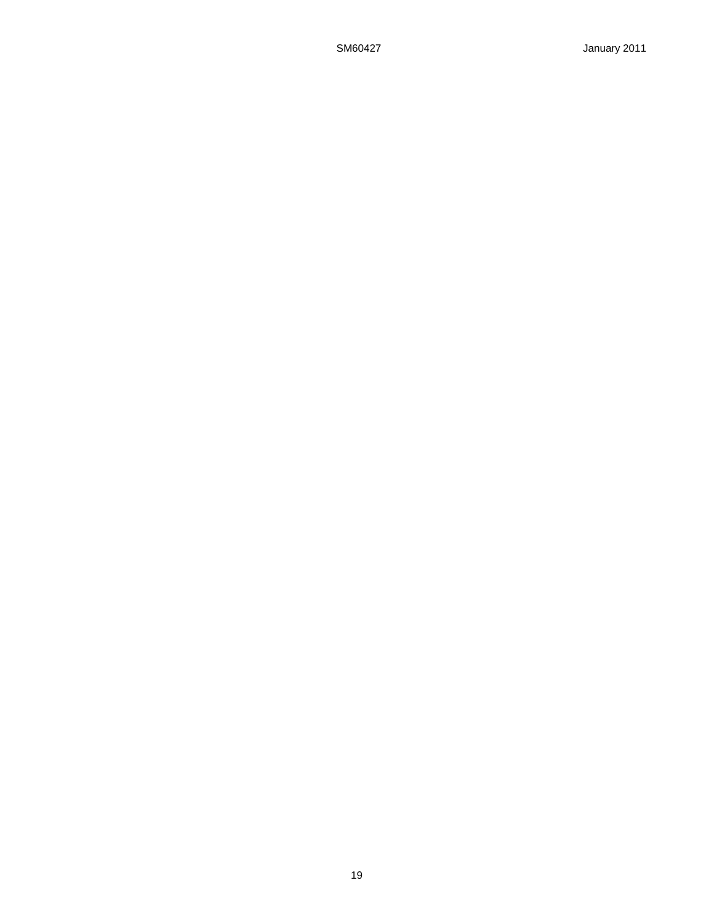19